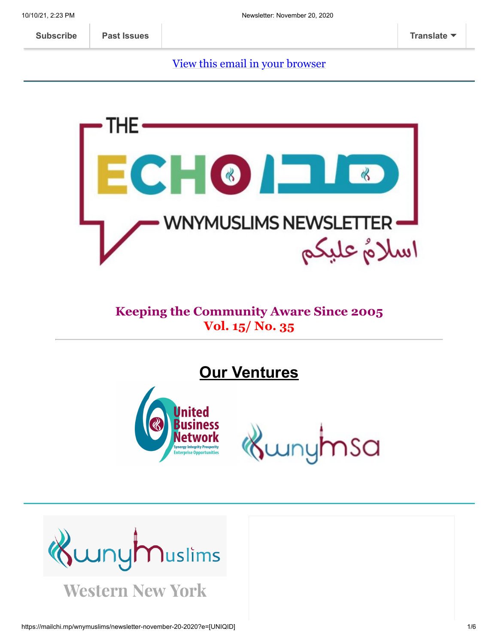[View this email in your browser](https://mailchi.mp/wnymuslims/newsletter-november-20-2020?e=[UNIQID])



#### **Keeping the Community Aware Since 2005 Vol. 15/ No. 35**

**Our Ventures**



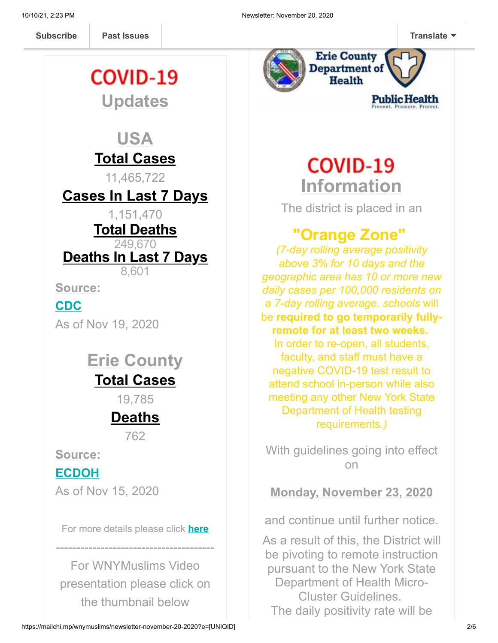**[Subscribe](http://eepurl.com/b19N3D) Past Issues [Translate](javascript:;)**

# COVID-19 **Updates**

**Past Issues** 

# **USA**

# **Total Cases**

11,465,722

# **Cases In Last 7 Days**

1,151,470

#### **Total Deaths**

249,670

**Deaths In Last 7 Days**

8,601

**Source:**

## **[CDC](https://covid.cdc.gov/covid-data-tracker/?CDC_AA_refVal=https%3A%2F%2Fwww.cdc.gov%2Fcoronavirus%2F2019-ncov%2Fcases-updates%2Fcases-in-us.html#cases_casesinlast7days)**

As of Nov 19, 2020

# **Erie County Total Cases**

19,785

# **Deaths**

762

**Source:**

### **[ECDOH](https://wnymuslims.us13.list-manage.com/track/click?u=19ed6f05ad8527220a10faa63&id=249ef8f8f9&e=375b9d9dab)**

As of Nov 15, 2020

For more details please click **[here](https://wnymuslims.org/event/covid-19-updates/)**

---------------------------------------

For WNYMuslims Video presentation please click on the thumbnail below



# **COVID-19 Information**

The district is placed in an

# **"Orange Zone"**

*(7-day rolling average positivity above 3% for 10 days and the geographic area has 10 or more new daily cases per 100,000 residents on a 7-day rolling average. schools* will be **required to go temporarily fullyremote for at least two weeks.** In order to re-open, all students, faculty, and staff must have a negative COVID-19 test result to attend school in-person while also meeting any other New York State Department of Health testing requirements.*)*

With guidelines going into effect on

**Monday, November 23, 2020**

and continue until further notice.

As a result of this, the District will be pivoting to remote instruction pursuant to the New York State Department of Health Micro-Cluster Guidelines. The daily positivity rate will be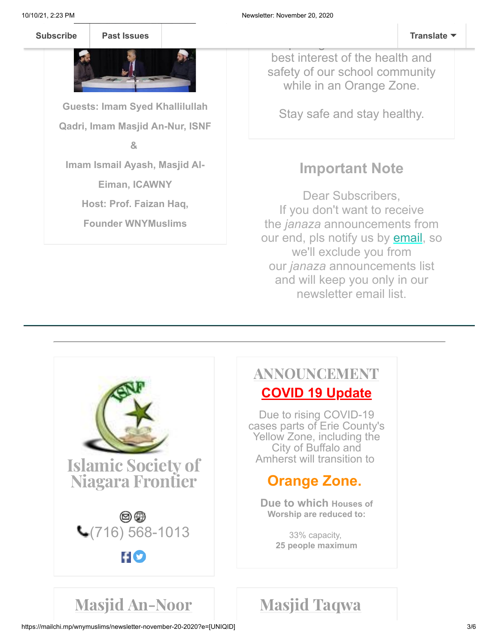10/10/21, 2:23 PM Newsletter: November 20, 2020

#### monitored and evaluated [whether](javascript:;) the contract of the contract of the contract of the contract of the contract of the contract of the contract of the contract of the contract of the contract of the contract of the contract o re-opening our schools is in the **[Subscribe](http://eepurl.com/b19N3D) [Past Issues](https://www.youtube.com/watch?v=equNhH1hXnE&feature=youtu.be) Translate**



**Guests: Imam Syed Khallilullah Qadri, Imam Masjid An-Nur, ISNF**

#### **&**

**Imam Ismail Ayash, Masjid Al-**

**Eiman, ICAWNY**

**Host: Prof. Faizan Haq,**

**Founder WNYMuslims**

best interest of the health and safety of our school community while in an Orange Zone.

Stay safe and stay healthy.

# **Important Note**

Dear Subscribers, If you don't want to receive the *janaza* announcements from our end, pls notify us by **email**, so we'll exclude you from our *janaza* announcements list and will keep you only in our newsletter email list.



## ANNOUNCEMENT **COVID 19 Update**

Due to rising COVID-19 cases parts of Erie County's Yellow Zone, including the City of Buffalo and Amherst will transition to

# **Orange Zone.**

**Due to which Houses of Worship are reduced to:**

> 33% capacity, **25 people maximum**

# Masjid An-Noor Masjid Taqwa

https://mailchi.mp/wnymuslims/newsletter-november-20-2020?e=[UNIQID] 3/6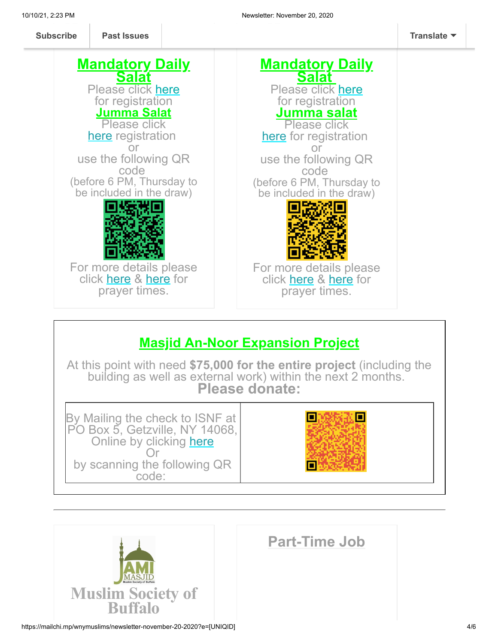**Past Issues [Subscribe](http://eepurl.com/b19N3D) Past Issues [Translate](javascript:;)**



# **Masjid An-Noor Expansion Project**

At this point with need **\$75,000 for the entire project** (including the building as well as external work) within the next 2 months. **Please donate:**

By Mailing the check to ISNF at PO Box 5, Getzville, NY 14068, Online by clicking [here](https://us.mohid.co/ny/buffalo/isnf/masjid/online/donation) Or by scanning the following QR code:





# **Part-Time Job**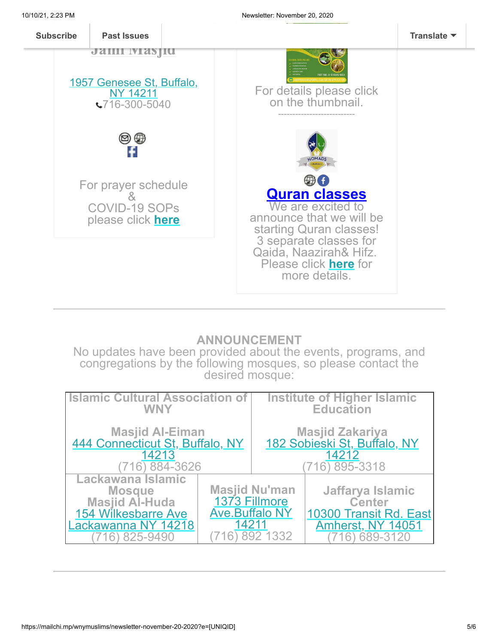

#### **ANNOUNCEMENT**

No updates have been provided about the events, programs, and congregations by the following mosques, so please contact the desired mosque:

| <b>Islamic Cultural Association of</b>                                                                                       |                                                 | <b>Institute of Higher Islamic</b>                     |                                                                                                        |
|------------------------------------------------------------------------------------------------------------------------------|-------------------------------------------------|--------------------------------------------------------|--------------------------------------------------------------------------------------------------------|
| <b>WNY</b>                                                                                                                   |                                                 | <b>Education</b>                                       |                                                                                                        |
| Masjid Al-Eiman<br>444 Connecticut St, Buffalo, NY                                                                           |                                                 | Masjid Zakariya<br><u>182 Sobieski St, Buffalo, NY</u> |                                                                                                        |
| 14213                                                                                                                        |                                                 | 14212                                                  |                                                                                                        |
| 884-3626                                                                                                                     |                                                 | 895-3318                                               |                                                                                                        |
| Lackawana Islamic<br><b>Mosque</b><br><b>Masjid Al-Huda</b><br><b>154 Wilkesbarre Ave</b><br>Lackawanna NY 14218<br>825-9490 | 1373 Fillmore<br><b>Ave.Buffalo NY</b><br>14211 | <b>Masjid Nu'man</b><br>892 1332                       | Jaffarya Islamic<br><b>Center</b><br>10300 Transit Rd. East<br><b>Amherst, NY 14051</b><br>6) 689-3120 |